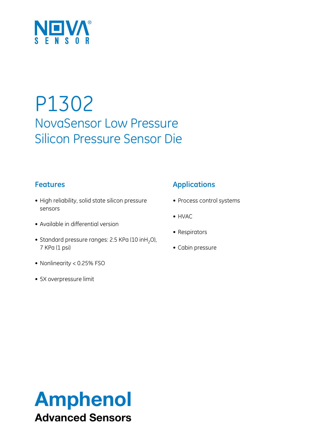

# P1302 NovaSensor Low Pressure Silicon Pressure Sensor Die

# **Features**

- High reliability, solid state silicon pressure sensors
- Available in differential version
- Standard pressure ranges: 2.5 KPa (10 inH<sub>2</sub>O), 7 KPa (1 psi)
- • Nonlinearity < 0.25% FSO
- 5X overpressure limit

# **Applications**

- Process control systems
- HVAC
- Respirators
- Cabin pressure

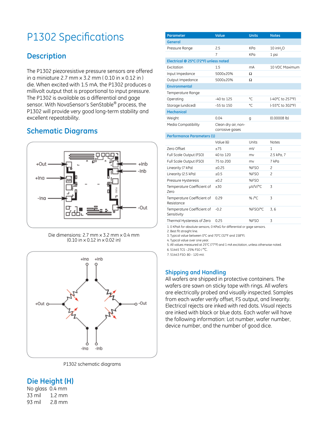# P1302 Specifications

# **Description**

The P1302 piezoresistive pressure sensors are offered in a miniature 2.7 mm x 3.2 mm ( 0.10 in x 0.12 in ) die. When excited with 1.5 mA, the P1302 produces a millivolt output that is proportional to input pressure. The P1302 is available as a differential and gage sensor. With NovaSensor's SenStable® process, the P1302 will provide very good long-term stability and excellent repeatability.

# **Schematic Diagrams**



Die dimensions: 2.7 mm x 3.2 mm x 0.4 mm (0.10 in x 0.12 in x 0.02 in)



P1302 schematic diagrams

#### **Die Height (H)**

No glass 0.4 mm 33 mil 1.2 mm 93 mil 2.8 mm

| Parameter                                 | Value                                  | <b>Units</b> | <b>Notes</b>             |  |
|-------------------------------------------|----------------------------------------|--------------|--------------------------|--|
| <b>General</b>                            |                                        |              |                          |  |
| Pressure Range                            | 2.5                                    | KPa          | $10$ in H <sub>2</sub> O |  |
|                                           | $\overline{7}$                         | KPa          | 1 psi                    |  |
| Electrical @ 25°C (72°F) unless noted     |                                        |              |                          |  |
| Excitation                                | 1.5                                    | mA           | 10 VDC Maximum           |  |
| Input Impedance                           | 5000±20%                               | Ω            |                          |  |
| Output Impedance                          | 5000±20%                               | Ω            |                          |  |
| <b>Environmental</b>                      |                                        |              |                          |  |
| Temperature Range                         |                                        |              |                          |  |
| Operating                                 | -40 to 125                             | °C.          | (-40°C to 257°F)         |  |
| Storage (undiced)                         | -55 to 150                             | °C           | (-55°C to 302°F)         |  |
| <b>Mechanical</b>                         |                                        |              |                          |  |
| Weight                                    | 0.04                                   | g            | $(0.00008$ lb)           |  |
| Media Compatibility                       | Clean dry air, non-<br>corrosive gases |              |                          |  |
| <b>Performance Parameters (1)</b>         |                                        |              |                          |  |
|                                           | Value (6)                              | Units        | <b>Notes</b>             |  |
| Zero Offset                               | $+75$                                  | mV           | 1                        |  |
| Full Scale Output (FSO)                   | 40 to 120                              | mv           | 2.5 kPa, 7               |  |
| Full Scale Output (FSO)                   | 75 to 200                              | mv           | 7 kPa                    |  |
| Linearity (7 kPa)                         | ±0.25                                  | %FSO         | 2                        |  |
| Linearity (2.5 kPa)                       | ±0.5                                   | %FSO         | $\overline{\mathbf{c}}$  |  |
| Pressure Hysteresis                       | ±0.2                                   | %FSO         |                          |  |
| Temperature Coefficient of<br>Zero        | ±30                                    | µV/V/°C      | 3                        |  |
| Temperature Coefficient of<br>Resistance  | 0.29                                   | %/°C         | 3                        |  |
| Temperature Coefficient of<br>Sensitivity | $-0.2$                                 | %FSO/°C      | 3, 6                     |  |
| Thermal Hysteresis of Zero                | 0.25                                   | %FSO         | 3                        |  |

1. 0 KPaA for absolute sensors, 0 KPaG for differential or gage sensors.

2. Best fit straight line.

3. Typical value between 0°C and 70°C (32°F and 158°F).

4. Typical value over one year.

5. All values measured at 25°C (77°F) and 1 mA excitation, unless otherwise noted.

6. 51445 TCS -.25% FSO / °C.

7. 51443 FSO: 80 - 120 mV.

#### **Shipping and Handling**

All wafers are shipped in protective containers. The wafers are sawn on sticky tape with rings. All wafers are electrically probed and visually inspected. Samples from each wafer verify offset, FS output, and linearity. Electrical rejects are inked with red dots. Visual rejects are inked with black or blue dots. Each wafer will have the following information: Lot number, wafer number, device number, and the number of good dice.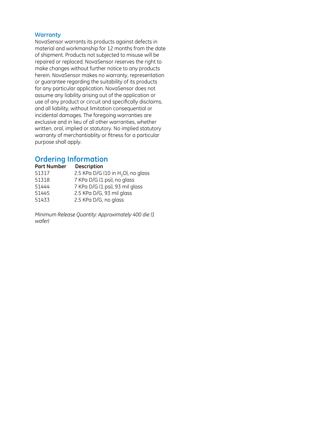#### **Warranty**

NovaSensor warrants its products against defects in material and workmanship for 12 months from the date of shipment. Products not subjected to misuse will be repaired or replaced. NovaSensor reserves the right to make changes without further notice to any products herein. NovaSensor makes no warranty, representation or guarantee regarding the suitability of its products for any particular application. NovaSensor does not assume any liability arising out of the application or use of any product or circuit and specifically disclaims, and all liability, without limitation consequential or incidental damages. The foregoing warranties are exclusive and in lieu of all other warranties, whether written, oral, implied or statutory. No implied statutory warranty of merchantiablity or fitness for a particular purpose shall apply.

### **Ordering Information**

| <b>Part Number</b> | <b>Description</b>                             |
|--------------------|------------------------------------------------|
| 51317              | 2.5 KPa D/G (10 in H <sub>2</sub> O), no glass |
| 51318              | 7 KPa D/G (1 psi), no glass                    |
| 51444              | 7 KPa D/G (1 psi), 93 mil glass                |
| 51445              | 2.5 KPa D/G, 93 mil glass                      |
| 51433              | 2.5 KPa D/G, no glass                          |

*Minimum Release Quantity: Approximately 400 die (1 wafer)*